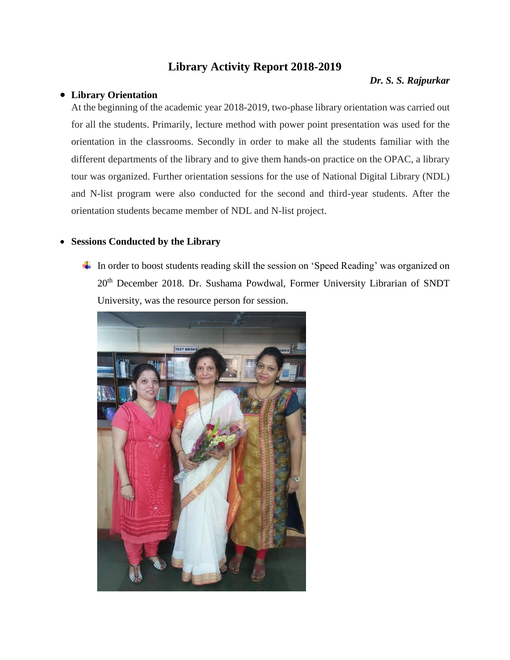# **Library Activity Report 2018-2019**

#### *Dr. S. S. Rajpurkar*

### **Library Orientation**

At the beginning of the academic year 2018-2019, two-phase library orientation was carried out for all the students. Primarily, lecture method with power point presentation was used for the orientation in the classrooms. Secondly in order to make all the students familiar with the different departments of the library and to give them hands-on practice on the OPAC, a library tour was organized. Further orientation sessions for the use of National Digital Library (NDL) and N-list program were also conducted for the second and third-year students. After the orientation students became member of NDL and N-list project.

### **Sessions Conducted by the Library**

In order to boost students reading skill the session on 'Speed Reading' was organized on 20<sup>th</sup> December 2018. Dr. Sushama Powdwal, Former University Librarian of SNDT University, was the resource person for session.

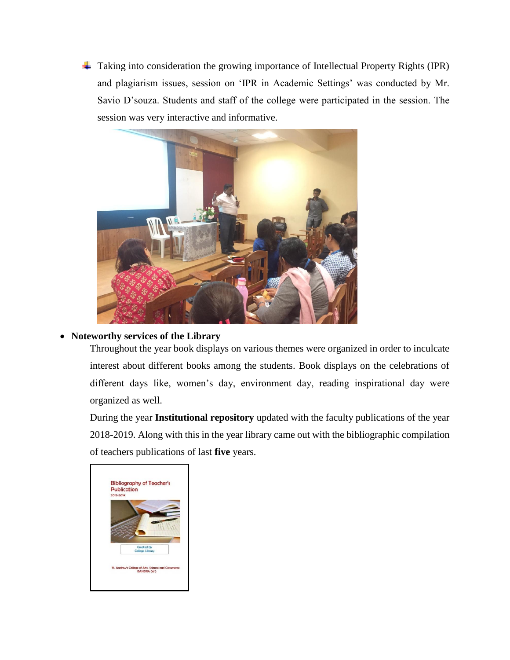Taking into consideration the growing importance of Intellectual Property Rights (IPR) and plagiarism issues, session on 'IPR in Academic Settings' was conducted by Mr. Savio D'souza. Students and staff of the college were participated in the session. The session was very interactive and informative.



## **Noteworthy services of the Library**

Throughout the year book displays on various themes were organized in order to inculcate interest about different books among the students. Book displays on the celebrations of different days like, women's day, environment day, reading inspirational day were organized as well.

During the year **Institutional repository** updated with the faculty publications of the year 2018-2019. Along with this in the year library came out with the bibliographic compilation of teachers publications of last **five** years.